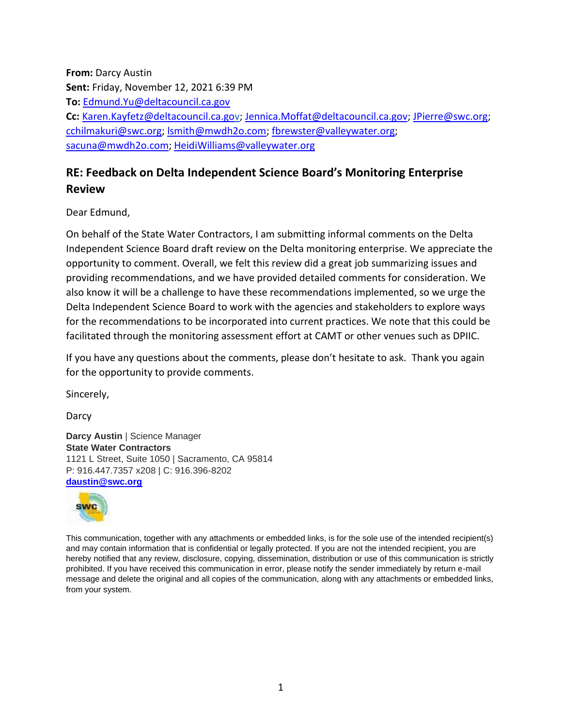**From:** Darcy Austin **Sent:** Friday, November 12, 2021 6:39 PM **To:** [Edmund.Yu@deltacouncil.ca.gov](mailto:Edmund.Yu@deltacouncil.ca.gov) **Cc:** [Karen.Kayfetz@deltacouncil.ca.gov;](mailto:Karen.Kayfetz@deltacouncil.ca.gov) [Jennica.Moffat@deltacouncil.ca.gov;](mailto:Jennica.Moffat@deltacouncil.ca.gov) [JPierre@swc.org;](mailto:JPierre@swc.org) [cchilmakuri@swc.org;](mailto:cchilmakuri@swc.org) [lsmith@mwdh2o.com;](mailto:lsmith@mwdh2o.com) [fbrewster@valleywater.org;](mailto:fbrewster@valleywater.org) [sacuna@mwdh2o.com;](mailto:sacuna@mwdh2o.com) [HeidiWilliams@valleywater.org](mailto:HeidiWilliams@valleywater.org)

# **RE: Feedback on Delta Independent Science Board's Monitoring Enterprise Review**

Dear Edmund,

On behalf of the State Water Contractors, I am submitting informal comments on the Delta Independent Science Board draft review on the Delta monitoring enterprise. We appreciate the opportunity to comment. Overall, we felt this review did a great job summarizing issues and providing recommendations, and we have provided detailed comments for consideration. We also know it will be a challenge to have these recommendations implemented, so we urge the Delta Independent Science Board to work with the agencies and stakeholders to explore ways for the recommendations to be incorporated into current practices. We note that this could be facilitated through the monitoring assessment effort at CAMT or other venues such as DPIIC.

If you have any questions about the comments, please don't hesitate to ask. Thank you again for the opportunity to provide comments.

Sincerely,

Darcy

**Darcy Austin** | Science Manager **State Water Contractors** 1121 L Street, Suite 1050 | Sacramento, CA 95814 P: 916.447.7357 x208 | C: 916.396-8202 **[daustin@swc.org](mailto:daustin@swc.org)**



This communication, together with any attachments or embedded links, is for the sole use of the intended recipient(s) and may contain information that is confidential or legally protected. If you are not the intended recipient, you are hereby notified that any review, disclosure, copying, dissemination, distribution or use of this communication is strictly prohibited. If you have received this communication in error, please notify the sender immediately by return e-mail message and delete the original and all copies of the communication, along with any attachments or embedded links, from your system.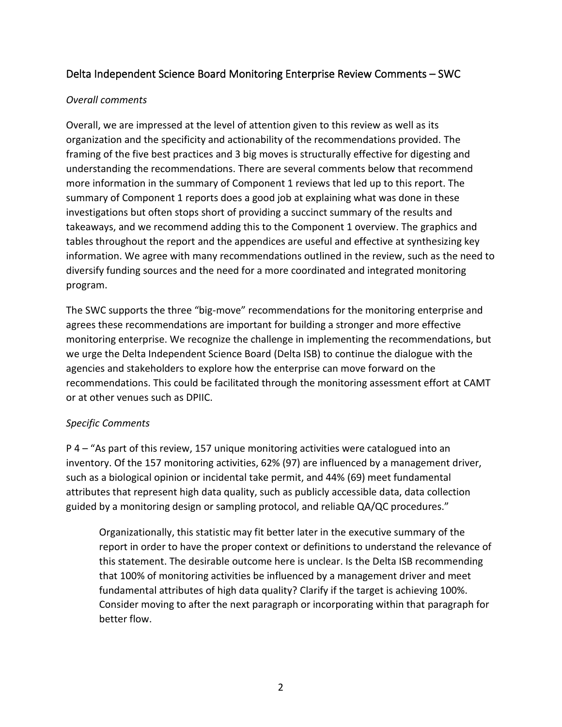## Delta Independent Science Board Monitoring Enterprise Review Comments – SWC

#### *Overall comments*

Overall, we are impressed at the level of attention given to this review as well as its organization and the specificity and actionability of the recommendations provided. The framing of the five best practices and 3 big moves is structurally effective for digesting and understanding the recommendations. There are several comments below that recommend more information in the summary of Component 1 reviews that led up to this report. The summary of Component 1 reports does a good job at explaining what was done in these investigations but often stops short of providing a succinct summary of the results and takeaways, and we recommend adding this to the Component 1 overview. The graphics and tables throughout the report and the appendices are useful and effective at synthesizing key information. We agree with many recommendations outlined in the review, such as the need to diversify funding sources and the need for a more coordinated and integrated monitoring program.

The SWC supports the three "big-move" recommendations for the monitoring enterprise and agrees these recommendations are important for building a stronger and more effective monitoring enterprise. We recognize the challenge in implementing the recommendations, but we urge the Delta Independent Science Board (Delta ISB) to continue the dialogue with the agencies and stakeholders to explore how the enterprise can move forward on the recommendations. This could be facilitated through the monitoring assessment effort at CAMT or at other venues such as DPIIC.

### *Specific Comments*

P 4 – "As part of this review, 157 unique monitoring activities were catalogued into an inventory. Of the 157 monitoring activities, 62% (97) are influenced by a management driver, such as a biological opinion or incidental take permit, and 44% (69) meet fundamental attributes that represent high data quality, such as publicly accessible data, data collection guided by a monitoring design or sampling protocol, and reliable QA/QC procedures."

Organizationally, this statistic may fit better later in the executive summary of the report in order to have the proper context or definitions to understand the relevance of this statement. The desirable outcome here is unclear. Is the Delta ISB recommending that 100% of monitoring activities be influenced by a management driver and meet fundamental attributes of high data quality? Clarify if the target is achieving 100%. Consider moving to after the next paragraph or incorporating within that paragraph for better flow.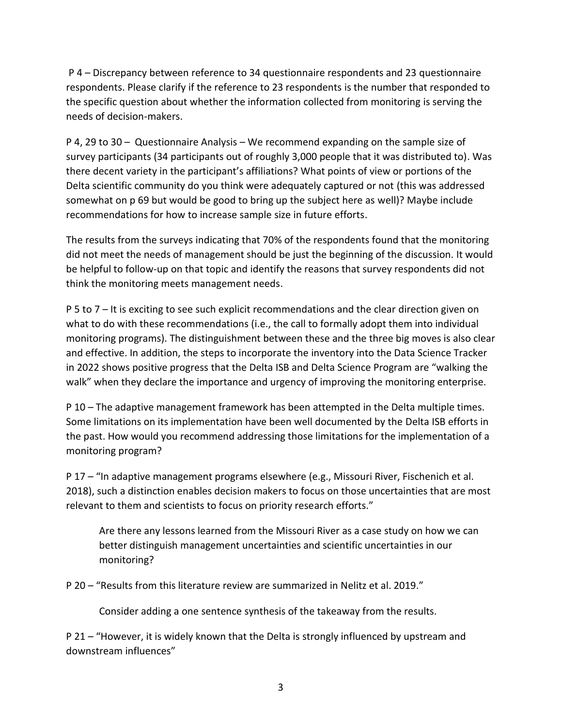P 4 – Discrepancy between reference to 34 questionnaire respondents and 23 questionnaire respondents. Please clarify if the reference to 23 respondents is the number that responded to the specific question about whether the information collected from monitoring is serving the needs of decision-makers.

P 4, 29 to 30 – Questionnaire Analysis – We recommend expanding on the sample size of survey participants (34 participants out of roughly 3,000 people that it was distributed to). Was there decent variety in the participant's affiliations? What points of view or portions of the Delta scientific community do you think were adequately captured or not (this was addressed somewhat on p 69 but would be good to bring up the subject here as well)? Maybe include recommendations for how to increase sample size in future efforts.

The results from the surveys indicating that 70% of the respondents found that the monitoring did not meet the needs of management should be just the beginning of the discussion. It would be helpful to follow-up on that topic and identify the reasons that survey respondents did not think the monitoring meets management needs.

P 5 to 7 – It is exciting to see such explicit recommendations and the clear direction given on what to do with these recommendations (i.e., the call to formally adopt them into individual monitoring programs). The distinguishment between these and the three big moves is also clear and effective. In addition, the steps to incorporate the inventory into the Data Science Tracker in 2022 shows positive progress that the Delta ISB and Delta Science Program are "walking the walk" when they declare the importance and urgency of improving the monitoring enterprise.

P 10 – The adaptive management framework has been attempted in the Delta multiple times. Some limitations on its implementation have been well documented by the Delta ISB efforts in the past. How would you recommend addressing those limitations for the implementation of a monitoring program?

P 17 – "In adaptive management programs elsewhere (e.g., Missouri River, Fischenich et al. 2018), such a distinction enables decision makers to focus on those uncertainties that are most relevant to them and scientists to focus on priority research efforts."

Are there any lessons learned from the Missouri River as a case study on how we can better distinguish management uncertainties and scientific uncertainties in our monitoring?

P 20 – "Results from this literature review are summarized in Nelitz et al. 2019."

Consider adding a one sentence synthesis of the takeaway from the results.

P 21 – "However, it is widely known that the Delta is strongly influenced by upstream and downstream influences"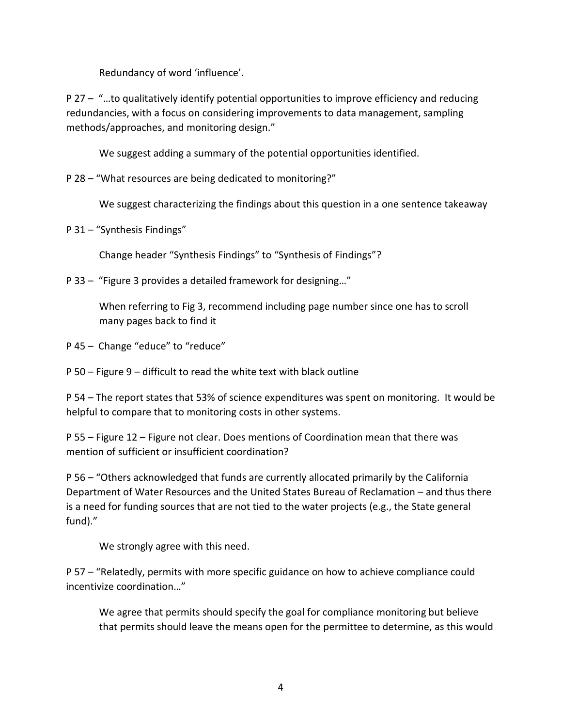Redundancy of word 'influence'.

P 27 – "…to qualitatively identify potential opportunities to improve efficiency and reducing redundancies, with a focus on considering improvements to data management, sampling methods/approaches, and monitoring design."

We suggest adding a summary of the potential opportunities identified.

P 28 – "What resources are being dedicated to monitoring?"

We suggest characterizing the findings about this question in a one sentence takeaway

P 31 – "Synthesis Findings"

Change header "Synthesis Findings" to "Synthesis of Findings"?

P 33 – "Figure 3 provides a detailed framework for designing…"

When referring to Fig 3, recommend including page number since one has to scroll many pages back to find it

P 45 – Change "educe" to "reduce"

P 50 – Figure 9 – difficult to read the white text with black outline

P 54 – The report states that 53% of science expenditures was spent on monitoring. It would be helpful to compare that to monitoring costs in other systems.

P 55 – Figure 12 – Figure not clear. Does mentions of Coordination mean that there was mention of sufficient or insufficient coordination?

P 56 – "Others acknowledged that funds are currently allocated primarily by the California Department of Water Resources and the United States Bureau of Reclamation – and thus there is a need for funding sources that are not tied to the water projects (e.g., the State general fund)."

We strongly agree with this need.

P 57 – "Relatedly, permits with more specific guidance on how to achieve compliance could incentivize coordination…"

We agree that permits should specify the goal for compliance monitoring but believe that permits should leave the means open for the permittee to determine, as this would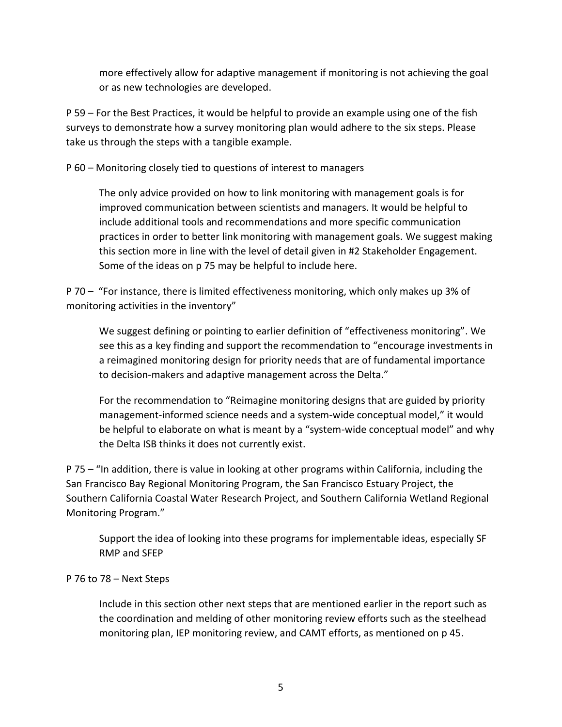more effectively allow for adaptive management if monitoring is not achieving the goal or as new technologies are developed.

P 59 – For the Best Practices, it would be helpful to provide an example using one of the fish surveys to demonstrate how a survey monitoring plan would adhere to the six steps. Please take us through the steps with a tangible example.

P 60 – Monitoring closely tied to questions of interest to managers

The only advice provided on how to link monitoring with management goals is for improved communication between scientists and managers. It would be helpful to include additional tools and recommendations and more specific communication practices in order to better link monitoring with management goals. We suggest making this section more in line with the level of detail given in #2 Stakeholder Engagement. Some of the ideas on p 75 may be helpful to include here.

P 70 – "For instance, there is limited effectiveness monitoring, which only makes up 3% of monitoring activities in the inventory"

We suggest defining or pointing to earlier definition of "effectiveness monitoring". We see this as a key finding and support the recommendation to "encourage investments in a reimagined monitoring design for priority needs that are of fundamental importance to decision-makers and adaptive management across the Delta."

For the recommendation to "Reimagine monitoring designs that are guided by priority management-informed science needs and a system-wide conceptual model," it would be helpful to elaborate on what is meant by a "system-wide conceptual model" and why the Delta ISB thinks it does not currently exist.

P 75 – "In addition, there is value in looking at other programs within California, including the San Francisco Bay Regional Monitoring Program, the San Francisco Estuary Project, the Southern California Coastal Water Research Project, and Southern California Wetland Regional Monitoring Program."

Support the idea of looking into these programs for implementable ideas, especially SF RMP and SFEP

#### P 76 to 78 – Next Steps

Include in this section other next steps that are mentioned earlier in the report such as the coordination and melding of other monitoring review efforts such as the steelhead monitoring plan, IEP monitoring review, and CAMT efforts, as mentioned on p 45.